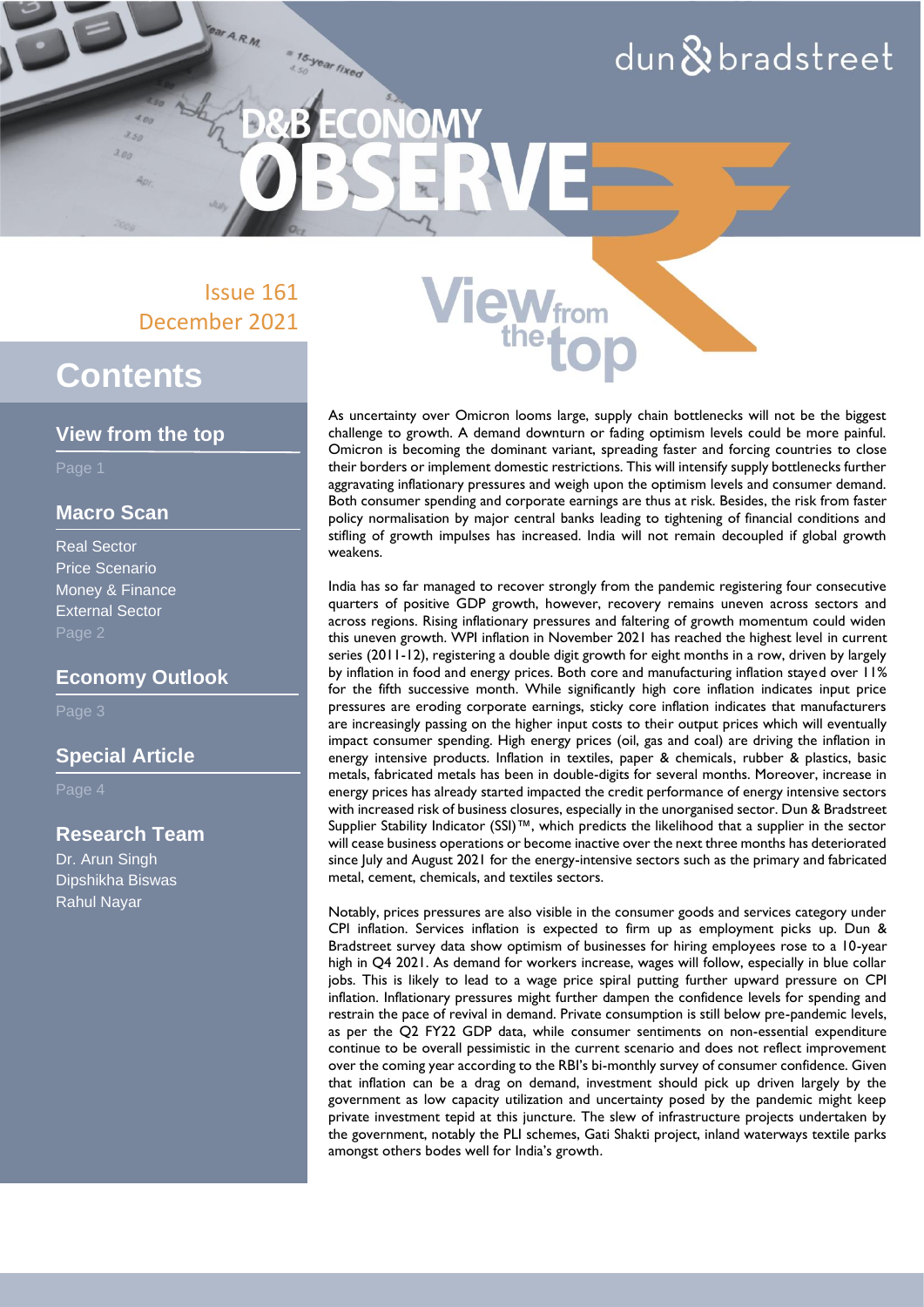## $d$ un $\&$ bradstreet

Issue 161 December 2021

15-year fixed

OM

## **Contents**

#### **View from the top**

Page 1

#### **Macro Scan**

Real Sector Price Scenario Money & Finance External Sector Page 2

#### **Economy Outlook**

Page 3

#### **Special Article**

Page 4

#### **Research Team**

Dr. Arun Singh Dipshikha Biswas Rahul Nayar

As uncertainty over Omicron looms large, supply chain bottlenecks will not be the biggest challenge to growth. A demand downturn or fading optimism levels could be more painful. Omicron is becoming the dominant variant, spreading faster and forcing countries to close their borders or implement domestic restrictions. This will intensify supply bottlenecks further aggravating inflationary pressures and weigh upon the optimism levels and consumer demand. Both consumer spending and corporate earnings are thus at risk. Besides, the risk from faster policy normalisation by major central banks leading to tightening of financial conditions and stifling of growth impulses has increased. India will not remain decoupled if global growth weakens.

**iew**from

India has so far managed to recover strongly from the pandemic registering four consecutive quarters of positive GDP growth, however, recovery remains uneven across sectors and across regions. Rising inflationary pressures and faltering of growth momentum could widen this uneven growth. WPI inflation in November 2021 has reached the highest level in current series (2011-12), registering a double digit growth for eight months in a row, driven by largely by inflation in food and energy prices. Both core and manufacturing inflation stayed over 11% for the fifth successive month. While significantly high core inflation indicates input price pressures are eroding corporate earnings, sticky core inflation indicates that manufacturers are increasingly passing on the higher input costs to their output prices which will eventually impact consumer spending. High energy prices (oil, gas and coal) are driving the inflation in energy intensive products. Inflation in textiles, paper & chemicals, rubber & plastics, basic metals, fabricated metals has been in double-digits for several months. Moreover, increase in energy prices has already started impacted the credit performance of energy intensive sectors with increased risk of business closures, especially in the unorganised sector. Dun & Bradstreet Supplier Stability Indicator (SSI)™, which predicts the likelihood that a supplier in the sector will cease business operations or become inactive over the next three months has deteriorated since July and August 2021 for the energy-intensive sectors such as the primary and fabricated metal, cement, chemicals, and textiles sectors.

Notably, prices pressures are also visible in the consumer goods and services category under CPI inflation. Services inflation is expected to firm up as employment picks up. Dun & Bradstreet survey data show optimism of businesses for hiring employees rose to a 10-year high in Q4 2021. As demand for workers increase, wages will follow, especially in blue collar jobs. This is likely to lead to a wage price spiral putting further upward pressure on CPI inflation. Inflationary pressures might further dampen the confidence levels for spending and restrain the pace of revival in demand. Private consumption is still below pre-pandemic levels, as per the Q2 FY22 GDP data, while consumer sentiments on non-essential expenditure continue to be overall pessimistic in the current scenario and does not reflect improvement over the coming year according to the RBI's bi-monthly survey of consumer confidence. Given that inflation can be a drag on demand, investment should pick up driven largely by the government as low capacity utilization and uncertainty posed by the pandemic might keep private investment tepid at this juncture. The slew of infrastructure projects undertaken by the government, notably the PLI schemes, Gati Shakti project, inland waterways textile parks amongst others bodes well for India's growth.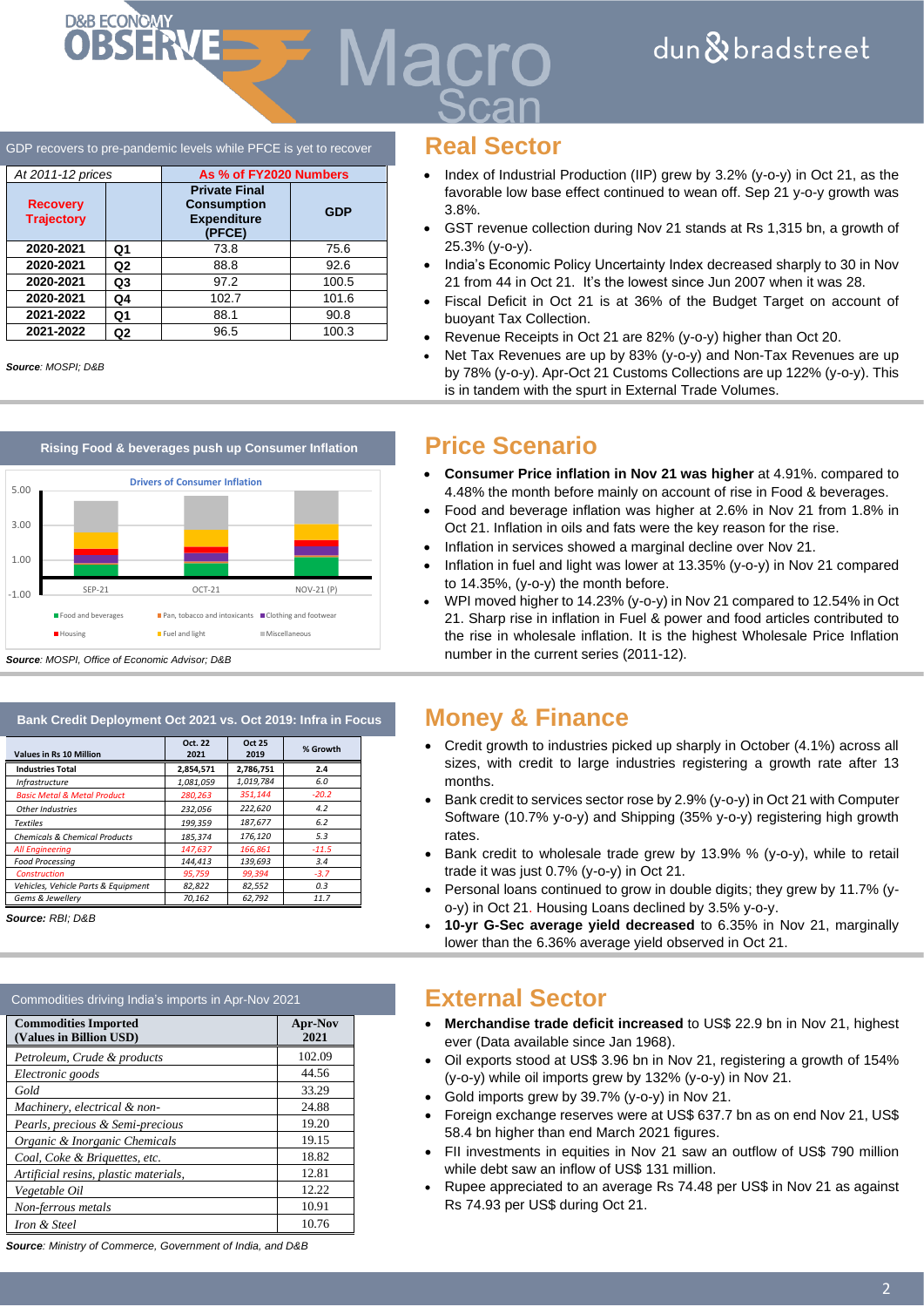#### GDP recovers to pre-pandemic levels while PFCE is yet to recover **Real Sector**

DRB ECONOMY<br>**OBSERVE** 

| At 2011-12 prices                    |    | As % of FY2020 Numbers                                                     |            |
|--------------------------------------|----|----------------------------------------------------------------------------|------------|
| <b>Recovery</b><br><b>Trajectory</b> |    | <b>Private Final</b><br><b>Consumption</b><br><b>Expenditure</b><br>(PFCE) | <b>GDP</b> |
| 2020-2021                            | Q1 | 73.8                                                                       | 75.6       |
| 2020-2021                            | Q2 | 88.8                                                                       | 92.6       |
| 2020-2021                            | Q3 | 97.2                                                                       | 100.5      |
| 2020-2021                            | Q4 | 102.7                                                                      | 101.6      |
| 2021-2022                            | Q1 | 88.1                                                                       | 90.8       |
| 2021-2022                            | Q2 | 96.5                                                                       | 100.3      |

*Source: MOSPI; D&B*



| Bank Credit Deployment Oct 2021 vs. Oct 2019: Infra in Focus |                 |                       |          |  |  |
|--------------------------------------------------------------|-----------------|-----------------------|----------|--|--|
| <b>Values in Rs 10 Million</b>                               | Oct. 22<br>2021 | <b>Oct 25</b><br>2019 | % Growth |  |  |
| <b>Industries Total</b>                                      | 2,854,571       | 2,786,751             | 2.4      |  |  |
| <b>Infrastructure</b>                                        | 1,081,059       | 1,019,784             | 6.0      |  |  |
| <b>Basic Metal &amp; Metal Product</b>                       | 280.263         | 351.144               | $-20.2$  |  |  |
| Other Industries                                             | 232.056         | 222,620               | 4.2      |  |  |
| <b>Textiles</b>                                              | 199.359         | 187,677               | 6.2      |  |  |
| <b>Chemicals &amp; Chemical Products</b>                     | 185.374         | 176,120               | 5.3      |  |  |
| <b>All Engineering</b>                                       | 147,637         | 166,861               | $-11.5$  |  |  |
| <b>Food Processing</b>                                       | 144.413         | 139.693               | 3.4      |  |  |
| <b>Construction</b>                                          | 95,759          | 99,394                | $-3.7$   |  |  |
| Vehicles, Vehicle Parts & Equipment                          | 82,822          | 82,552                | 0.3      |  |  |
| Gems & Jewellerv                                             | 70.162          | 62.792                | 11.7     |  |  |

*Source: RBI; D&B*

| Commodities driving India's imports in Apr-Nov 2021    |                 |  |
|--------------------------------------------------------|-----------------|--|
| <b>Commodities Imported</b><br>(Values in Billion USD) | Apr-Nov<br>2021 |  |
| Petroleum, Crude & products                            | 102.09          |  |
| Electronic goods                                       | 44.56           |  |
| Gold                                                   | 33.29           |  |
| Machinery, electrical & non-                           | 24.88           |  |
| Pearls, precious & Semi-precious                       | 19.20           |  |
| Organic & Inorganic Chemicals                          | 19.15           |  |
| Coal, Coke & Briguettes, etc.                          | 18.82           |  |
| Artificial resins, plastic materials,                  | 12.81           |  |
| Vegetable Oil                                          | 12.22           |  |
| Non-ferrous metals                                     | 10.91           |  |
| Iron & Steel                                           | 10.76           |  |

*Source: Ministry of Commerce, Government of India, and D&B*

*Aacro* 

- Index of Industrial Production (IIP) grew by 3.2% (y-o-y) in Oct 21, as the favorable low base effect continued to wean off. Sep 21 y-o-y growth was 3.8%.
- GST revenue collection during Nov 21 stands at Rs 1,315 bn, a growth of 25.3% (y-o-y).
- India's Economic Policy Uncertainty Index decreased sharply to 30 in Nov 21 from 44 in Oct 21. It's the lowest since Jun 2007 when it was 28.
- Fiscal Deficit in Oct 21 is at 36% of the Budget Target on account of buoyant Tax Collection.
- Revenue Receipts in Oct 21 are 82% (y-o-y) higher than Oct 20.
- Net Tax Revenues are up by 83% (y-o-y) and Non-Tax Revenues are up by 78% (y-o-y). Apr-Oct 21 Customs Collections are up 122% (y-o-y). This is in tandem with the spurt in External Trade Volumes.

- **Consumer Price inflation in Nov 21 was higher** at 4.91%. compared to 4.48% the month before mainly on account of rise in Food & beverages.
- Food and beverage inflation was higher at 2.6% in Nov 21 from 1.8% in Oct 21. Inflation in oils and fats were the key reason for the rise.
- Inflation in services showed a marginal decline over Nov 21.
- Inflation in fuel and light was lower at 13.35% (y-o-y) in Nov 21 compared to 14.35%, (y-o-y) the month before.
- WPI moved higher to 14.23% (y-o-y) in Nov 21 compared to 12.54% in Oct 21. Sharp rise in inflation in Fuel & power and food articles contributed to the rise in wholesale inflation. It is the highest Wholesale Price Inflation number in the current series (2011-12).

#### **Money & Finance**

- Credit growth to industries picked up sharply in October (4.1%) across all sizes, with credit to large industries registering a growth rate after 13 months.
- Bank credit to services sector rose by 2.9% (y-o-y) in Oct 21 with Computer Software (10.7% y-o-y) and Shipping (35% y-o-y) registering high growth rates.
- Bank credit to wholesale trade grew by 13.9% % (y-o-y), while to retail trade it was just 0.7% (y-o-y) in Oct 21.
- Personal loans continued to grow in double digits; they grew by 11.7% (yo-y) in Oct 21. Housing Loans declined by 3.5% y-o-y.
- **10-yr G-Sec average yield decreased** to 6.35% in Nov 21, marginally lower than the 6.36% average yield observed in Oct 21.

#### External Sector

- **Merchandise trade deficit increased** to US\$ 22.9 bn in Nov 21, highest ever (Data available since Jan 1968).
- Oil exports stood at US\$ 3.96 bn in Nov 21, registering a growth of 154% (y-o-y) while oil imports grew by 132% (y-o-y) in Nov 21.
- Gold imports grew by 39.7% (y-o-y) in Nov 21.
- Foreign exchange reserves were at US\$ 637.7 bn as on end Nov 21, US\$ 58.4 bn higher than end March 2021 figures.
- FII investments in equities in Nov 21 saw an outflow of US\$ 790 million while debt saw an inflow of US\$ 131 million.
- Rupee appreciated to an average Rs 74.48 per US\$ in Nov 21 as against Rs 74.93 per US\$ during Oct 21.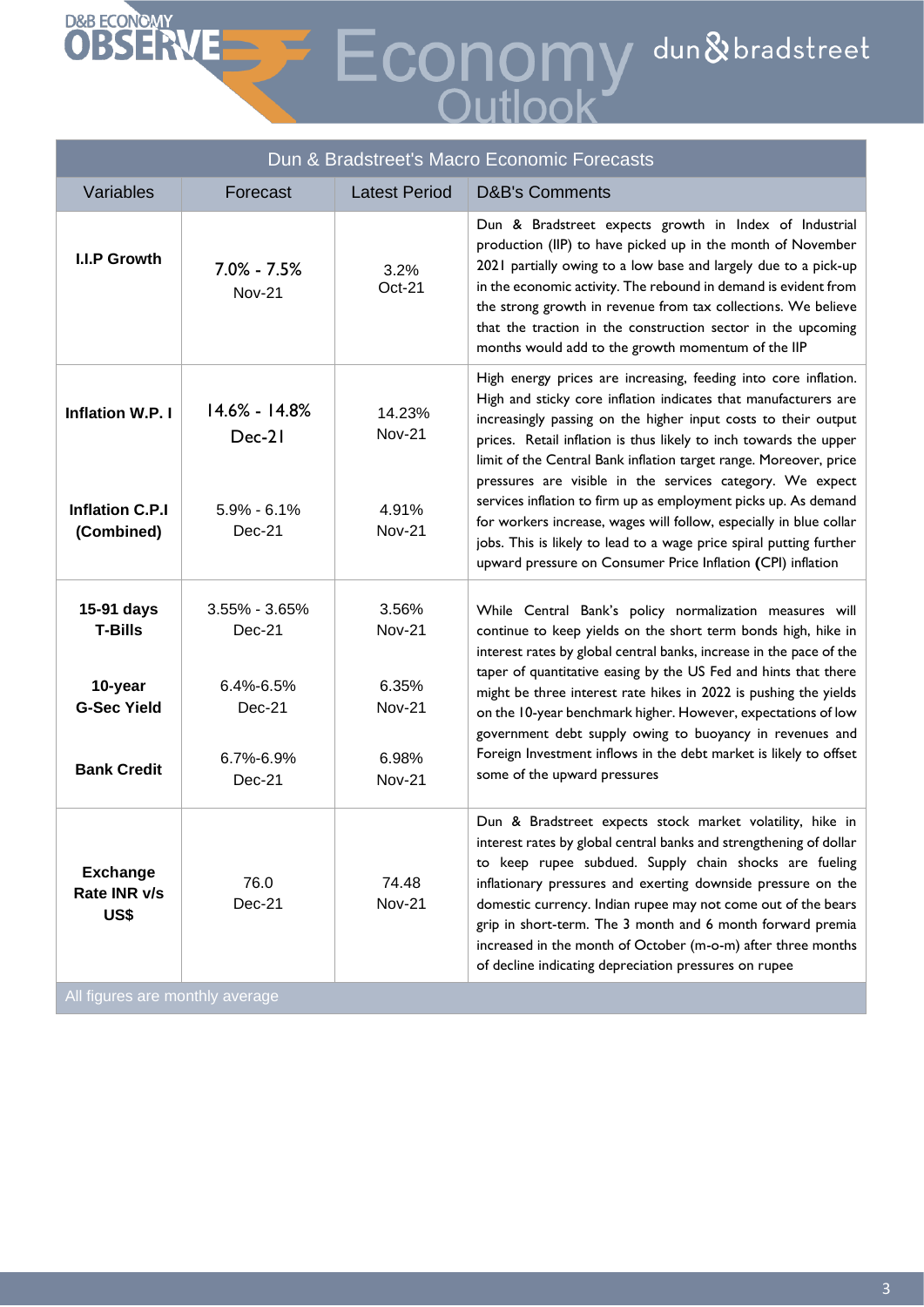# **OBSERVE EXECONOMY** dun & bradstreet

| Dun & Bradstreet's Macro Economic Forecasts                                         |                                                                             |                                                                            |                                                                                                                                                                                                                                                                                                                                                                                                                                                                                                                                                                                                                                                                                            |  |  |
|-------------------------------------------------------------------------------------|-----------------------------------------------------------------------------|----------------------------------------------------------------------------|--------------------------------------------------------------------------------------------------------------------------------------------------------------------------------------------------------------------------------------------------------------------------------------------------------------------------------------------------------------------------------------------------------------------------------------------------------------------------------------------------------------------------------------------------------------------------------------------------------------------------------------------------------------------------------------------|--|--|
| Variables                                                                           | Forecast                                                                    | <b>Latest Period</b>                                                       | <b>D&amp;B's Comments</b>                                                                                                                                                                                                                                                                                                                                                                                                                                                                                                                                                                                                                                                                  |  |  |
| I.I.P Growth                                                                        | $7.0\% - 7.5\%$<br><b>Nov-21</b>                                            | 3.2%<br>Oct-21                                                             | Dun & Bradstreet expects growth in Index of Industrial<br>production (IIP) to have picked up in the month of November<br>2021 partially owing to a low base and largely due to a pick-up<br>in the economic activity. The rebound in demand is evident from<br>the strong growth in revenue from tax collections. We believe<br>that the traction in the construction sector in the upcoming<br>months would add to the growth momentum of the IIP                                                                                                                                                                                                                                         |  |  |
| <b>Inflation W.P. I</b><br><b>Inflation C.P.I</b><br>(Combined)                     | 14.6% - 14.8%<br>$Dec-21$<br>$5.9\% - 6.1\%$<br>$Dec-21$                    | 14.23%<br><b>Nov-21</b><br>4.91%<br><b>Nov-21</b>                          | High energy prices are increasing, feeding into core inflation.<br>High and sticky core inflation indicates that manufacturers are<br>increasingly passing on the higher input costs to their output<br>prices. Retail inflation is thus likely to inch towards the upper<br>limit of the Central Bank inflation target range. Moreover, price<br>pressures are visible in the services category. We expect<br>services inflation to firm up as employment picks up. As demand<br>for workers increase, wages will follow, especially in blue collar<br>jobs. This is likely to lead to a wage price spiral putting further<br>upward pressure on Consumer Price Inflation (CPI) inflation |  |  |
| 15-91 days<br><b>T-Bills</b><br>10-year<br><b>G-Sec Yield</b><br><b>Bank Credit</b> | $3.55\% - 3.65\%$<br>$Dec-21$<br>6.4%-6.5%<br>Dec-21<br>6.7%-6.9%<br>Dec-21 | 3.56%<br><b>Nov-21</b><br>6.35%<br><b>Nov-21</b><br>6.98%<br><b>Nov-21</b> | While Central Bank's policy normalization measures will<br>continue to keep yields on the short term bonds high, hike in<br>interest rates by global central banks, increase in the pace of the<br>taper of quantitative easing by the US Fed and hints that there<br>might be three interest rate hikes in 2022 is pushing the yields<br>on the 10-year benchmark higher. However, expectations of low<br>government debt supply owing to buoyancy in revenues and<br>Foreign Investment inflows in the debt market is likely to offset<br>some of the upward pressures                                                                                                                   |  |  |
| <b>Exchange</b><br>Rate INR v/s<br>US\$                                             | 76.0<br>Dec-21                                                              | 74.48<br><b>Nov-21</b>                                                     | Dun & Bradstreet expects stock market volatility, hike in<br>interest rates by global central banks and strengthening of dollar<br>to keep rupee subdued. Supply chain shocks are fueling<br>inflationary pressures and exerting downside pressure on the<br>domestic currency. Indian rupee may not come out of the bears<br>grip in short-term. The 3 month and 6 month forward premia<br>increased in the month of October (m-o-m) after three months<br>of decline indicating depreciation pressures on rupee                                                                                                                                                                          |  |  |

All figures are monthly average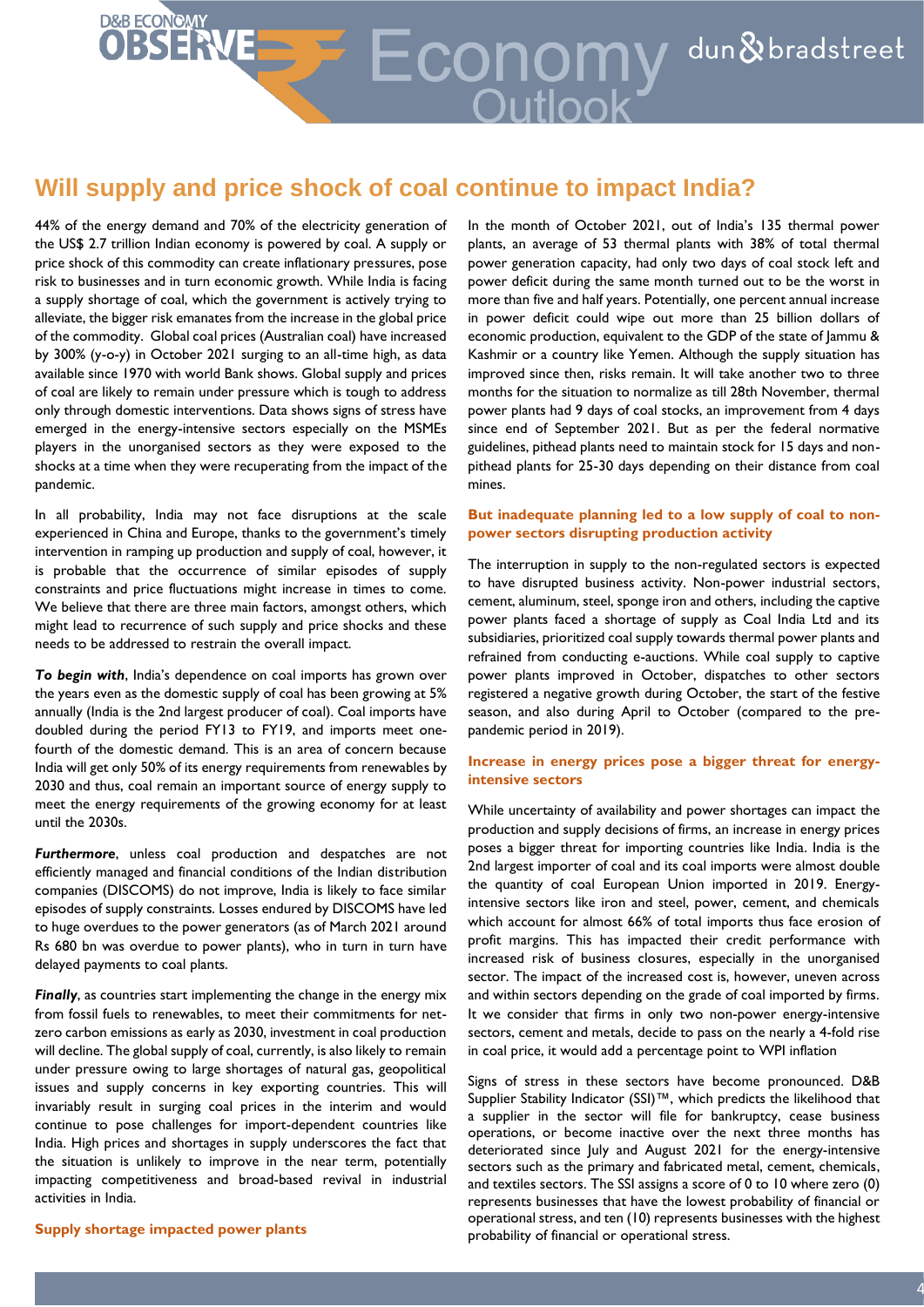# D&B ECONOMY<br>**OBSENE** Economy dun & bradstreet

### **Will supply and price shock of coal continue to impact India?**

44% of the energy demand and 70% of the electricity generation of the US\$ 2.7 trillion Indian economy is powered by coal. A supply or price shock of this commodity can create inflationary pressures, pose risk to businesses and in turn economic growth. While India is facing a supply shortage of coal, which the government is actively trying to alleviate, the bigger risk emanates from the increase in the global price of the commodity. Global coal prices (Australian coal) have increased by 300% (y-o-y) in October 2021 surging to an all-time high, as data available since 1970 with world Bank shows. Global supply and prices of coal are likely to remain under pressure which is tough to address only through domestic interventions. Data shows signs of stress have emerged in the energy-intensive sectors especially on the MSMEs players in the unorganised sectors as they were exposed to the shocks at a time when they were recuperating from the impact of the pandemic.

In all probability, India may not face disruptions at the scale experienced in China and Europe, thanks to the government's timely intervention in ramping up production and supply of coal, however, it is probable that the occurrence of similar episodes of supply constraints and price fluctuations might increase in times to come. We believe that there are three main factors, amongst others, which might lead to recurrence of such supply and price shocks and these needs to be addressed to restrain the overall impact.

*To begin with*, India's dependence on coal imports has grown over the years even as the domestic supply of coal has been growing at 5% annually (India is the 2nd largest producer of coal). Coal imports have doubled during the period FY13 to FY19, and imports meet onefourth of the domestic demand. This is an area of concern because India will get only 50% of its energy requirements from renewables by 2030 and thus, coal remain an important source of energy supply to meet the energy requirements of the growing economy for at least until the 2030s.

*Furthermore*, unless coal production and despatches are not efficiently managed and financial conditions of the Indian distribution companies (DISCOMS) do not improve, India is likely to face similar episodes of supply constraints. Losses endured by DISCOMS have led to huge overdues to the power generators (as of March 2021 around Rs 680 bn was overdue to power plants), who in turn in turn have delayed payments to coal plants.

*Finally*, as countries start implementing the change in the energy mix from fossil fuels to renewables, to meet their commitments for netzero carbon emissions as early as 2030, investment in coal production will decline. The global supply of coal, currently, is also likely to remain under pressure owing to large shortages of natural gas, geopolitical issues and supply concerns in key exporting countries. This will invariably result in surging coal prices in the interim and would continue to pose challenges for import-dependent countries like India. High prices and shortages in supply underscores the fact that the situation is unlikely to improve in the near term, potentially impacting competitiveness and broad-based revival in industrial activities in India.

**Supply shortage impacted power plants**

In the month of October 2021, out of India's 135 thermal power plants, an average of 53 thermal plants with 38% of total thermal power generation capacity, had only two days of coal stock left and power deficit during the same month turned out to be the worst in more than five and half years. Potentially, one percent annual increase in power deficit could wipe out more than 25 billion dollars of economic production, equivalent to the GDP of the state of Jammu & Kashmir or a country like Yemen. Although the supply situation has improved since then, risks remain. It will take another two to three months for the situation to normalize as till 28th November, thermal power plants had 9 days of coal stocks, an improvement from 4 days since end of September 2021. But as per the federal normative guidelines, pithead plants need to maintain stock for 15 days and nonpithead plants for 25-30 days depending on their distance from coal mines.

#### **But inadequate planning led to a low supply of coal to nonpower sectors disrupting production activity**

The interruption in supply to the non-regulated sectors is expected to have disrupted business activity. Non-power industrial sectors, cement, aluminum, steel, sponge iron and others, including the captive power plants faced a shortage of supply as Coal India Ltd and its subsidiaries, prioritized coal supply towards thermal power plants and refrained from conducting e-auctions. While coal supply to captive power plants improved in October, dispatches to other sectors registered a negative growth during October, the start of the festive season, and also during April to October (compared to the prepandemic period in 2019).

#### **Increase in energy prices pose a bigger threat for energyintensive sectors**

While uncertainty of availability and power shortages can impact the production and supply decisions of firms, an increase in energy prices poses a bigger threat for importing countries like India. India is the 2nd largest importer of coal and its coal imports were almost double the quantity of coal European Union imported in 2019. Energyintensive sectors like iron and steel, power, cement, and chemicals which account for almost 66% of total imports thus face erosion of profit margins. This has impacted their credit performance with increased risk of business closures, especially in the unorganised sector. The impact of the increased cost is, however, uneven across and within sectors depending on the grade of coal imported by firms. It we consider that firms in only two non-power energy-intensive sectors, cement and metals, decide to pass on the nearly a 4-fold rise in coal price, it would add a percentage point to WPI inflation

Signs of stress in these sectors have become pronounced. D&B Supplier Stability Indicator (SSI)™, which predicts the likelihood that a supplier in the sector will file for bankruptcy, cease business operations, or become inactive over the next three months has deteriorated since July and August 2021 for the energy-intensive sectors such as the primary and fabricated metal, cement, chemicals, and textiles sectors. The SSI assigns a score of 0 to 10 where zero (0) represents businesses that have the lowest probability of financial or operational stress, and ten (10) represents businesses with the highest probability of financial or operational stress.